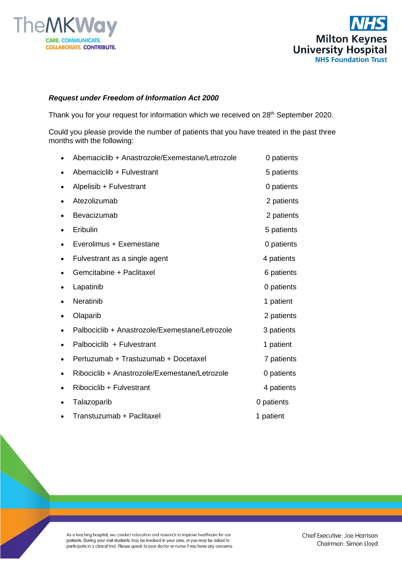



## *Request under Freedom of Information Act 2000*

Thank you for your request for information which we received on 28<sup>th</sup> September 2020.

Could you please provide the number of patients that you have treated in the past three months with the following:

| Abemaciclib + Anastrozole/Exemestane/Letrozole | 0 patients |
|------------------------------------------------|------------|
| Abemaciclib + Fulvestrant                      | 5 patients |
| Alpelisib + Fulvestrant                        | 0 patients |
| Atezolizumab                                   | 2 patients |
| Bevacizumab                                    | 2 patients |
| Eribulin                                       | 5 patients |
| Everolimus + Exemestane                        | 0 patients |
| Fulvestrant as a single agent                  | 4 patients |
| Gemcitabine + Paclitaxel                       | 6 patients |
| Lapatinib                                      | 0 patients |
| Neratinib                                      | 1 patient  |
| Olaparib                                       | 2 patients |
| Palbociclib + Anastrozole/Exemestane/Letrozole | 3 patients |
| Palbociclib + Fulvestrant                      | 1 patient  |
| Pertuzumab + Trastuzumab + Docetaxel           | 7 patients |
| Ribociclib + Anastrozole/Exemestane/Letrozole  | 0 patients |
| Ribociclib + Fulvestrant                       | 4 patients |
| Talazoparib                                    | 0 patients |
| Transtuzumab + Paclitaxel                      | 1 patient  |

As a teaching hospital, we conduct education and research to improve healthcare for our patients. During your visit students may be involved in your care, or you may be asked to participate in a clinical trial. Please speak to your doctor or nurse if you have any concerns.